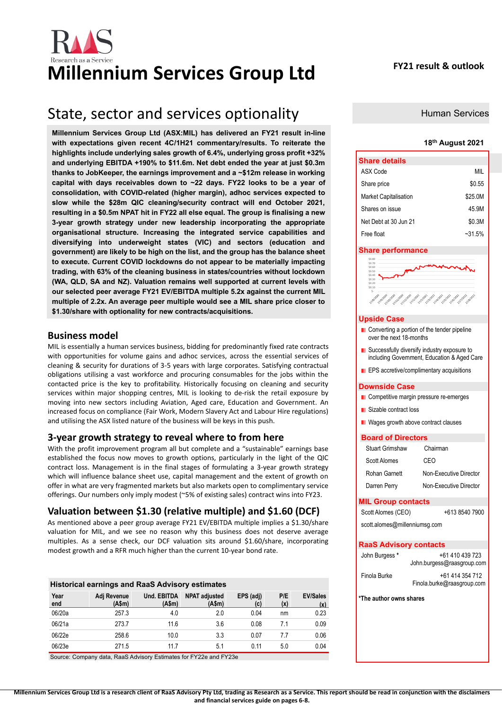

# **Millennium Services Group Ltd FY21 result & outlook**

## State, sector and services optionality

**Millennium Services Group Ltd (ASX:MIL) has delivered an FY21 result in-line with expectations given recent 4C/1H21 commentary/results. To reiterate the highlights include underlying sales growth of 6.4%, underlying gross profit +32% and underlying EBITDA +190% to \$11.6m. Net debt ended the year at just \$0.3m thanks to JobKeeper, the earnings improvement and a ~\$12m release in working capital with days receivables down to ~22 days. FY22 looks to be a year of consolidation, with COVID-related (higher margin), adhoc services expected to slow while the \$28m QIC cleaning/security contract will end October 2021, resulting in a \$0.5m NPAT hit in FY22 all else equal. The group is finalising a new 3-year growth strategy under new leadership incorporating the appropriate organisational structure. Increasing the integrated service capabilities and diversifying into underweight states (VIC) and sectors (education and government) are likely to be high on the list, and the group has the balance sheet to execute. Current COVID lockdowns do not appear to be materially impacting trading, with 63% of the cleaning business in states/countries without lockdown (WA, QLD, SA and NZ). Valuation remains well supported at current levels with our selected peer average FY21 EV/EBITDA multiple 5.2x against the current MIL multiple of 2.2x. An average peer multiple would see a MIL share price closer to \$1.30/share with optionality for new contracts/acquisitions.** 

## **Business model**

MIL is essentially a human services business, bidding for predominantly fixed rate contracts with opportunities for volume gains and adhoc services, across the essential services of cleaning & security for durations of 3-5 years with large corporates. Satisfying contractual obligations utilising a vast workforce and procuring consumables for the jobs within the contacted price is the key to profitability. Historically focusing on cleaning and security services within major shopping centres, MIL is looking to de-risk the retail exposure by moving into new sectors including Aviation, Aged care, Education and Government. An increased focus on compliance (Fair Work, Modern Slavery Act and Labour Hire regulations) and utilising the ASX listed nature of the business will be keys in this push.

## **3-year growth strategy to reveal where to from here**

With the profit improvement program all but complete and a "sustainable" earnings base established the focus now moves to growth options, particularly in the light of the QIC contract loss. Management is in the final stages of formulating a 3-year growth strategy which will influence balance sheet use, capital management and the extent of growth on offer in what are very fragmented markets but also markets open to complimentary service offerings. Our numbers only imply modest (~5% of existing sales) contract wins into FY23.

## **Valuation between \$1.30 (relative multiple) and \$1.60 (DCF)**

As mentioned above a peer group average FY21 EV/EBITDA multiple implies a \$1.30/share valuation for MIL, and we see no reason why this business does not deserve average multiples. As a sense check, our DCF valuation sits around \$1.60/share, incorporating modest growth and a RFR much higher than the current 10-year bond rate.

| <b>Historical earnings and RaaS Advisory estimates</b> |                      |                              |                                |                  |            |                        |  |  |  |  |  |
|--------------------------------------------------------|----------------------|------------------------------|--------------------------------|------------------|------------|------------------------|--|--|--|--|--|
| Year<br>end                                            | Adj Revenue<br>(Asm) | <b>Und. EBITDA</b><br>(A\$m) | <b>NPAT adjusted</b><br>(A\$m) | EPS (adj)<br>(c) | P/E<br>(x) | <b>EV/Sales</b><br>(x) |  |  |  |  |  |
| 06/20a                                                 | 257.3                | 4.0                          | 2.0                            | 0.04             | nm         | 0.23                   |  |  |  |  |  |
| 06/21a                                                 | 273.7                | 11.6                         | 3.6                            | 0.08             | 71         | 0.09                   |  |  |  |  |  |
| 06/22e                                                 | 258.6                | 10.0                         | 3.3                            | 0.07             | 77         | 0.06                   |  |  |  |  |  |
| 06/23e                                                 | 271.5                | 117                          | 5.1                            | 0.11             | 5.0        | 0.04                   |  |  |  |  |  |

Source: Company data, RaaS Advisory Estimates for FY22e and FY23e

Human Services

### **18th August 2021**

| <b>Share details</b>         |          |
|------------------------------|----------|
| ASX Code                     | MIL      |
| Share price                  | \$0.55   |
| <b>Market Capitalisation</b> | \$25.0M  |
| Shares on issue              | 45.9M    |
| Net Debt at 30 Jun 21        | \$0.3M   |
| Free float                   | $-31.5%$ |

#### **Share performance**

| \$0.80            |                                                                                                                                       |
|-------------------|---------------------------------------------------------------------------------------------------------------------------------------|
| \$0.70            |                                                                                                                                       |
| \$0.60            | $\sqrt{2}$                                                                                                                            |
| \$0.50            | Harry ,                                                                                                                               |
| \$0.40            |                                                                                                                                       |
| \$0.30            |                                                                                                                                       |
| \$0.20            |                                                                                                                                       |
| \$0.10            |                                                                                                                                       |
| S-                |                                                                                                                                       |
| <b>Vile</b> /2020 | <b>Vilal</b> iana<br><b>Villagions</b><br>Villagas Villagas<br>1/2/2020 1/2/2020 1/2/2020 1/2/2020 1/1/1/2020 1/2020<br><b>OINTON</b> |

### **Upside Case**

- Converting a portion of the tender pipeline over the next 18-months
- **E** Successfully diversify industry exposure to including Government, Education & Aged Care
- **EPS** accretive/complimentary acquisitions

#### **Downside Case**

- **Competitive margin pressure re-emerges**
- **Sizable contract loss**
- Wages growth above contract clauses

#### **Board of Directors**

| <b>MIL Group contacts</b> |                        |
|---------------------------|------------------------|
| Darren Perry              | Non-Executive Director |
| Rohan Garnett             | Non-Executive Director |
| Scott Alomes              | CEO                    |
| Stuart Grimshaw           | Chairman               |

## Scott Alomes (CEO) +613 8540 7900

[scott.alomes@millenniumsg.com](about:blank)

### **RaaS Advisory contacts** John Burgess **\*** +61 410 439 723 John.burgess@raasgroup.com

| Finola Burke | +61 414 354 712            |
|--------------|----------------------------|
|              | Finola.burke@raasgroup.com |

**\*The author owns shares**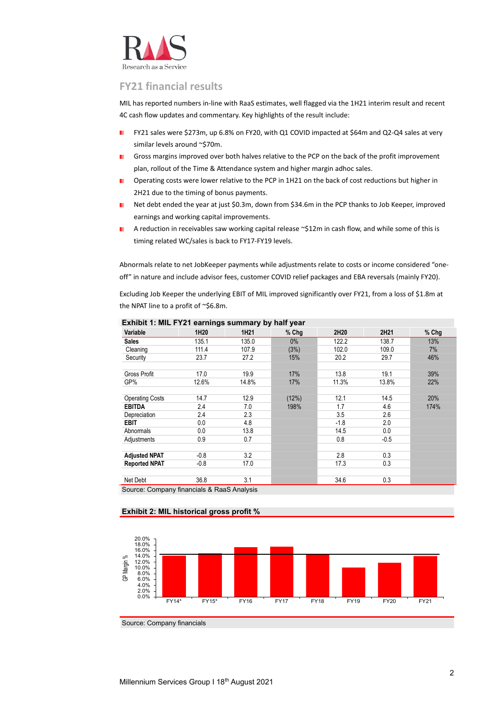

## **FY21 financial results**

MIL has reported numbers in-line with RaaS estimates, well flagged via the 1H21 interim result and recent 4C cash flow updates and commentary. Key highlights of the result include:

- FY21 sales were \$273m, up 6.8% on FY20, with Q1 COVID impacted at \$64m and Q2-Q4 sales at very similar levels around ~\$70m.
- Gross margins improved over both halves relative to the PCP on the back of the profit improvement ٠ plan, rollout of the Time & Attendance system and higher margin adhoc sales.
- ×. Operating costs were lower relative to the PCP in 1H21 on the back of cost reductions but higher in 2H21 due to the timing of bonus payments.
- m. Net debt ended the year at just \$0.3m, down from \$34.6m in the PCP thanks to Job Keeper, improved earnings and working capital improvements.
- A reduction in receivables saw working capital release ~\$12m in cash flow, and while some of this is ٠ timing related WC/sales is back to FY17-FY19 levels.

Abnormals relate to net JobKeeper payments while adjustments relate to costs or income considered "oneoff" in nature and include advisor fees, customer COVID relief packages and EBA reversals (mainly FY20).

Excluding Job Keeper the underlying EBIT of MIL improved significantly over FY21, from a loss of \$1.8m at the NPAT line to a profit of ~\$6.8m.

| Variable               | 1H20   | 1H21  | % Chg | 2H20   | 2H21   | % Chg |
|------------------------|--------|-------|-------|--------|--------|-------|
| <b>Sales</b>           | 135.1  | 135.0 | 0%    | 122.2  | 138.7  | 13%   |
| Cleaning               | 111.4  | 107.9 | (3%)  | 102.0  | 109.0  | 7%    |
| Security               | 23.7   | 27.2  | 15%   | 20.2   | 29.7   | 46%   |
| Gross Profit           | 17.0   | 19.9  | 17%   | 13.8   | 19.1   | 39%   |
| GP%                    | 12.6%  | 14.8% | 17%   | 11.3%  | 13.8%  | 22%   |
| <b>Operating Costs</b> | 14.7   | 12.9  | (12%) | 12.1   | 14.5   | 20%   |
| <b>EBITDA</b>          | 2.4    | 7.0   | 198%  | 1.7    | 4.6    | 174%  |
| Depreciation           | 2.4    | 2.3   |       | 3.5    | 2.6    |       |
| <b>EBIT</b>            | 0.0    | 4.8   |       | $-1.8$ | 2.0    |       |
| Abnormals              | 0.0    | 13.8  |       | 14.5   | 0.0    |       |
| Adjustments            | 0.9    | 0.7   |       | 0.8    | $-0.5$ |       |
| <b>Adjusted NPAT</b>   | $-0.8$ | 3.2   |       | 2.8    | 0.3    |       |
| <b>Reported NPAT</b>   | $-0.8$ | 17.0  |       | 17.3   | 0.3    |       |
|                        |        |       |       |        |        |       |
| Net Debt               | 36.8   | 3.1   |       | 34.6   | 0.3    |       |

**Exhibit 1: MIL FY21 earnings summary by half year**

Source: Company financials & RaaS Analysis

## **Exhibit 2: MIL historical gross profit %**



Source: Company financials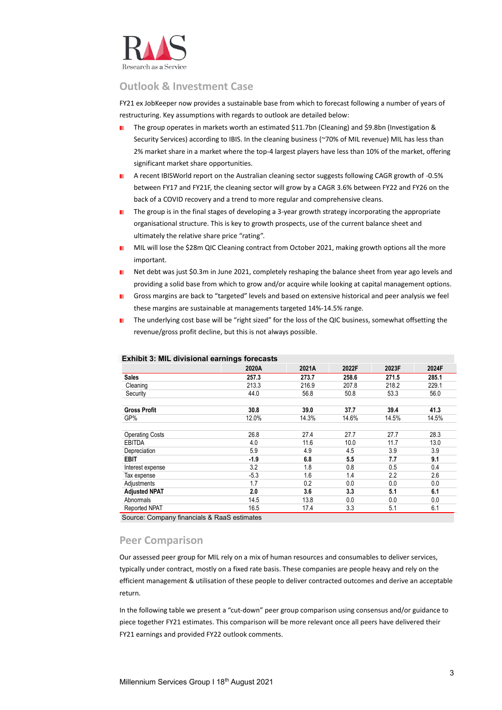

## **Outlook & Investment Case**

FY21 ex JobKeeper now provides a sustainable base from which to forecast following a number of years of restructuring. Key assumptions with regards to outlook are detailed below:

- The group operates in markets worth an estimated \$11.7bn (Cleaning) and \$9.8bn (Investigation & m. Security Services) according to IBIS. In the cleaning business (~70% of MIL revenue) MIL has less than 2% market share in a market where the top-4 largest players have less than 10% of the market, offering significant market share opportunities.
- A recent IBISWorld report on the Australian cleaning sector suggests following CAGR growth of -0.5% between FY17 and FY21F, the cleaning sector will grow by a CAGR 3.6% between FY22 and FY26 on the back of a COVID recovery and a trend to more regular and comprehensive cleans.
- The group is in the final stages of developing a 3-year growth strategy incorporating the appropriate ٠. organisational structure. This is key to growth prospects, use of the current balance sheet and ultimately the relative share price "rating".
- MIL will lose the \$28m QIC Cleaning contract from October 2021, making growth options all the more ٠ important.
- Net debt was just \$0.3m in June 2021, completely reshaping the balance sheet from year ago levels and providing a solid base from which to grow and/or acquire while looking at capital management options.
- Gross margins are back to "targeted" levels and based on extensive historical and peer analysis we feel these margins are sustainable at managements targeted 14%-14.5% range.
- The underlying cost base will be "right sized" for the loss of the QIC business, somewhat offsetting the revenue/gross profit decline, but this is not always possible.

|                        | 2020A  | 2021A | 2022F | 2023F | 2024F |
|------------------------|--------|-------|-------|-------|-------|
| <b>Sales</b>           | 257.3  | 273.7 | 258.6 | 271.5 | 285.1 |
| Cleaning               | 213.3  | 216.9 | 207.8 | 218.2 | 229.1 |
| Security               | 44.0   | 56.8  | 50.8  | 53.3  | 56.0  |
| <b>Gross Profit</b>    | 30.8   | 39.0  | 37.7  | 39.4  | 41.3  |
| GP%                    | 12.0%  | 14.3% | 14.6% | 14.5% | 14.5% |
| <b>Operating Costs</b> | 26.8   | 27.4  | 27.7  | 27.7  | 28.3  |
| <b>EBITDA</b>          | 4.0    | 11.6  | 10.0  | 11.7  | 13.0  |
| Depreciation           | 5.9    | 4.9   | 4.5   | 3.9   | 3.9   |
| <b>EBIT</b>            | $-1.9$ | 6.8   | 5.5   | 7.7   | 9.1   |
| Interest expense       | 3.2    | 1.8   | 0.8   | 0.5   | 0.4   |
| Tax expense            | $-5.3$ | 1.6   | 1.4   | 2.2   | 2.6   |
| Adjustments            | 1.7    | 0.2   | 0.0   | 0.0   | 0.0   |
| <b>Adjusted NPAT</b>   | 2.0    | 3.6   | 3.3   | 5.1   | 6.1   |
| Abnormals              | 14.5   | 13.8  | 0.0   | 0.0   | 0.0   |
| <b>Reported NPAT</b>   | 16.5   | 17.4  | 3.3   | 5.1   | 6.1   |

## **Exhibit 3: MIL divisional earnings forecasts**

Source: Company financials & RaaS estimates

## **Peer Comparison**

Our assessed peer group for MIL rely on a mix of human resources and consumables to deliver services, typically under contract, mostly on a fixed rate basis. These companies are people heavy and rely on the efficient management & utilisation of these people to deliver contracted outcomes and derive an acceptable return.

In the following table we present a "cut-down" peer group comparison using consensus and/or guidance to piece together FY21 estimates. This comparison will be more relevant once all peers have delivered their FY21 earnings and provided FY22 outlook comments.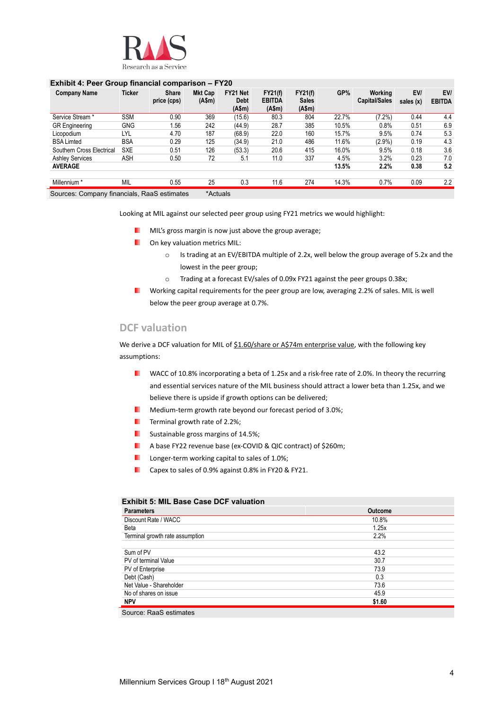

## **Exhibit 4: Peer Group financial comparison – FY20**

| <b>Company Name</b>       | <b>Ticker</b> | <b>Share</b><br>price (cps) | <b>Mkt Cap</b><br>(A\$m) | FY21 Net<br><b>Debt</b><br>(A\$m) | FY21(f)<br><b>EBITDA</b><br>(A\$m) | <b>FY21(f)</b><br><b>Sales</b><br>(A\$m) | GP%   | Working<br><b>Capital/Sales</b> | EV/<br>sales $(x)$ | EV/<br><b>EBITDA</b> |
|---------------------------|---------------|-----------------------------|--------------------------|-----------------------------------|------------------------------------|------------------------------------------|-------|---------------------------------|--------------------|----------------------|
| Service Stream *          | <b>SSM</b>    | 0.90                        | 369                      | (15.6)                            | 80.3                               | 804                                      | 22.7% | (7.2%)                          | 0.44               | 4.4                  |
| <b>GR</b> Engineering     | <b>GNG</b>    | 1.56                        | 242                      | (44.9)                            | 28.7                               | 385                                      | 10.5% | 0.8%                            | 0.51               | 6.9                  |
| Licopodium                | LYL           | 4.70                        | 187                      | (68.9)                            | 22.0                               | 160                                      | 15.7% | 9.5%                            | 0.74               | 5.3                  |
| <b>BSA Limted</b>         | <b>BSA</b>    | 0.29                        | 125                      | (34.9)                            | 21.0                               | 486                                      | 11.6% | (2.9%                           | 0.19               | 4.3                  |
| Southern Cross Electrical | SXE           | 0.51                        | 126                      | (53.3)                            | 20.6                               | 415                                      | 16.0% | 9.5%                            | 0.18               | 3.6                  |
| <b>Ashley Services</b>    | ASH           | 0.50                        | 72                       | 5.1                               | 11.0                               | 337                                      | 4.5%  | 3.2%                            | 0.23               | 7.0                  |
| <b>AVERAGE</b>            |               |                             |                          |                                   |                                    |                                          | 13.5% | 2.2%                            | 0.38               | 5.2                  |
| Millennium *              | <b>MIL</b>    | 0.55                        | 25                       | 0.3                               | 11.6                               | 274                                      | 14.3% | 0.7%                            | 0.09               | 2.2                  |

Sources: Company financials, RaaS estimates \*Actuals

Looking at MIL against our selected peer group using FY21 metrics we would highlight:

- **MIL's gross margin is now just above the group average;**
- **D** On key valuation metrics MIL:
	- o Is trading at an EV/EBITDA multiple of 2.2x, well below the group average of 5.2x and the lowest in the peer group;
	- o Trading at a forecast EV/sales of 0.09x FY21 against the peer groups 0.38x;
- ٠ Working capital requirements for the peer group are low, averaging 2.2% of sales. MIL is well below the peer group average at 0.7%.

## **DCF valuation**

We derive a DCF valuation for MIL of \$1.60/share or A\$74m enterprise value, with the following key assumptions:

- **N** WACC of 10.8% incorporating a beta of 1.25x and a risk-free rate of 2.0%. In theory the recurring and essential services nature of the MIL business should attract a lower beta than 1.25x, and we believe there is upside if growth options can be delivered;
- ш Medium-term growth rate beyond our forecast period of 3.0%;
- Terminal growth rate of 2.2%; ٠.
- Sustainable gross margins of 14.5%; ٠
- A base FY22 revenue base (ex-COVID & QIC contract) of \$260m; .
- ٠ Longer-term working capital to sales of 1.0%;
- Capex to sales of 0.9% against 0.8% in FY20 & FY21. .

## **Exhibit 5: MIL Base Case DCF valuation**

| <b>Parameters</b>               | <b>Outcome</b> |
|---------------------------------|----------------|
| Discount Rate / WACC            | 10.8%          |
| Beta                            | 1.25x          |
| Terminal growth rate assumption | 2.2%           |
|                                 |                |
| Sum of PV                       | 43.2           |
| PV of terminal Value            | 30.7           |
| PV of Enterprise                | 73.9           |
| Debt (Cash)                     | 0.3            |
| Net Value - Shareholder         | 73.6           |
| No of shares on issue           | 45.9           |
| <b>NPV</b>                      | \$1.60         |
|                                 |                |

Source: RaaS estimates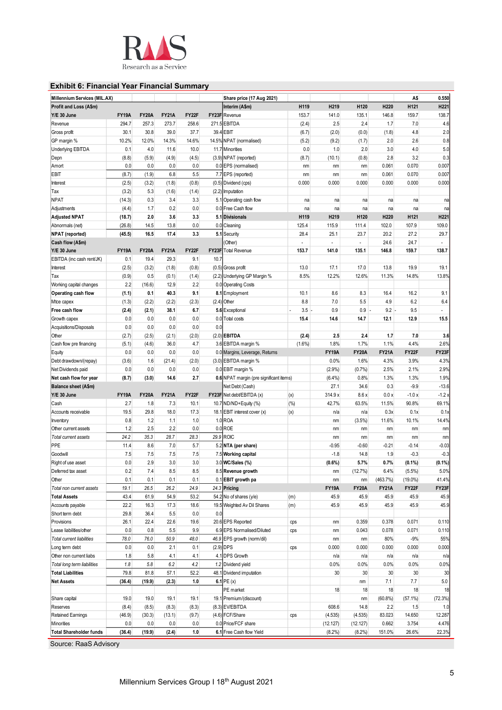

## **Exhibit 6: Financial Year Financial Summary**

| Millennium Services (MIL.AX)   |              |              |              |       |       | Share price (17 Aug 2021)               |           |              |              |              | A\$              | 0.550            |
|--------------------------------|--------------|--------------|--------------|-------|-------|-----------------------------------------|-----------|--------------|--------------|--------------|------------------|------------------|
| Profit and Loss (A\$m)         |              |              |              |       |       | Interim (A\$m)                          | H119      | H219         | H120         | H220         | H121             | H <sub>221</sub> |
| Y/E 30 June                    | <b>FY19A</b> | <b>FY20A</b> | <b>FY21A</b> | FY22F |       | FY23F Revenue                           | 153.7     | 141.0        | 135.1        | 146.8        | 159.7            | 138.7            |
| Revenue                        | 294.7        | 257.3        | 273.7        | 258.6 |       | 271.5 EBITDA                            | (2.4)     | 2.5          | 2.4          | 1.7          | 7.0              | 4.6              |
| Gross profit                   | 30.1         | 30.8         | 39.0         | 37.7  |       | 39.4 EBIT                               | (6.7)     | (2.0)        | (0.0)        | (1.8)        | 4.8              | 2.0              |
| GP margin %                    | 10.2%        | 12.0%        | 14.3%        | 14.6% |       | 14.5% NPAT (normalised)                 | (5.2)     | (9.2)        | (1.7)        | 2.0          | 2.6              | 0.8              |
| Underlying EBITDA              | 0.1          | 4.0          | 11.6         | 10.0  |       | 11.7 Minorities                         | 0.0       | 1.0          | 2.0          | 3.0          | 4.0              | 5.0              |
| Depn                           | (8.8)        | (5.9)        | (4.9)        | (4.5) |       | (3.9) NPAT (reported)                   | (8.7)     | (10.1)       | (0.8)        | 2.8          | 3.2              | 0.3              |
| Amort                          | 0.0          | 0.0          | 0.0          | 0.0   |       | 0.0 EPS (normalised)                    | nm        | nm           | nm           | 0.061        | 0.070            | 0.007            |
| EBIT                           | (8.7)        | (1.9)        | 6.8          | 5.5   |       | 7.7 EPS (reported)                      | nm        | nm           | nm           | 0.061        | 0.070            | 0.007            |
| Interest                       | (2.5)        | (3.2)        | (1.8)        | (0.8) |       | (0.5) Dividend (cps)                    | 0.000     | 0.000        | 0.000        | 0.000        | 0.000            | 0.000            |
| Tax                            | (3.2)        | 5.3          | (1.6)        | (1.4) |       | (2.2) Imputation                        |           |              |              |              |                  |                  |
|                                |              |              |              |       |       |                                         |           |              |              |              |                  |                  |
| NPAT                           | (14.3)       | 0.3          | 3.4<br>0.2   | 3.3   |       | 5.1 Operating cash flow                 | na        | na           | na           | na           | na               | na               |
| Adjustments                    | (4.4)        | 1.7          |              | 0.0   |       | 0.0 Free Cash flow                      | na        | na           | na           | na           | na               | na               |
| <b>Adjusted NPAT</b>           | (18.7)       | 2.0          | 3.6          | 3.3   |       | 5.1 Divisionals                         | H119      | H219         | H120         | H220         | H <sub>121</sub> | H <sub>221</sub> |
| Abnormals (net)                | (26.8)       | 14.5         | 13.8         | 0.0   |       | 0.0 Cleaning                            | 125.4     | 115.9        | 111.4        | 102.0        | 107.9            | 109.0            |
| <b>NPAT</b> (reported)         | (45.5)       | 16.5         | 17.4         | 3.3   |       | 5.1 Security                            | 28.4      | 25.1         | 23.7         | 20.2         | 27.2             | 29.7             |
| Cash flow (A\$m)               |              |              |              |       |       | Other)                                  |           |              |              | 24.6         | 24.7             |                  |
| Y/E 30 June                    | <b>FY19A</b> | <b>FY20A</b> | <b>FY21A</b> | FY22F | FY23F | <b>Total Revenue</b>                    | 153.7     | 141.0        | 135.1        | 146.8        | 159.7            | 138.7            |
| EBITDA (inc cash rent/JK)      | 0.1          | 19.4         | 29.3         | 9.1   | 10.7  |                                         |           |              |              |              |                  |                  |
| Interest                       | (2.5)        | (3.2)        | (1.8)        | (0.8) |       | (0.5) Gross profit                      | 13.0      | 17.1         | 17.0         | 13.8         | 19.9             | 19.1             |
| Tax                            | (0.9)        | 0.5          | (0.1)        | (1.4) |       | (2.2) Underlying GP Margin %            | 8.5%      | 12.2%        | 12.6%        | 11.3%        | 14.8%            | 13.8%            |
| Working capital changes        | 2.2          | (16.6)       | 12.9         | 2.2   |       | 0.0 Operating Costs                     |           |              |              |              |                  |                  |
| Operating cash flow            | (1.1)        | 0.1          | 40.3         | 9.1   |       | 8.1 Employment                          | 10.1      | 8.6          | 8.3          | 16.4         | 16.2             | 9.1              |
| Mtce capex                     | (1.3)        | (2.2)        | (2.2)        | (2.3) | (2.4) | Other                                   | 8.8       | 7.0          | 5.5          | 4.9          | 6.2              | 6.4              |
| Free cash flow                 | (2.4)        | (2.1)        | 38.1         | 6.7   |       | 5.6 Exceptional                         | 3.5       | 0.9          | 0.9          | $9.2 -$      | 9.5              |                  |
| Growth capex                   | 0.0          | 0.0          | 0.0          | 0.0   |       | 0.0 Total costs                         | 15.4      | 14.6         | 14.7         | 12.1         | 12.9             | 15.5             |
| Acquisitions/Disposals         | 0.0          | 0.0          | 0.0          | 0.0   | 0.0   |                                         |           |              |              |              |                  |                  |
| Other                          | (2.7)        | (2.5)        | (2.1)        | (2.0) |       | $(2.0)$ EBITDA                          | (2.4)     | 2.5          | 2.4          | 1.7          | 7.0              | 3.6              |
| Cash flow pre financing        | (5.1)        | (4.6)        | 36.0         | 4.7   |       | 3.6 EBITDA margin %                     | $(1.6\%)$ | 1.8%         | 1.7%         | 1.1%         | 4.4%             | 2.6%             |
| Equity                         | 0.0          | 0.0          | 0.0          | 0.0   |       | 0.0 Margins, Leverage, Returns          |           | <b>FY19A</b> | <b>FY20A</b> | <b>FY21A</b> | FY22F            | FY23F            |
| Debt drawdown/(repay)          | (3.6)        | 1.6          | (21.4)       | (2.0) |       | (3.0) EBITDA margin %                   |           | 0.0%         | 1.6%         | 4.3%         | 3.9%             | 4.3%             |
| Net Dividends paid             | 0.0          | 0.0          | 0.0          | 0.0   |       | 0.0 EBIT margin %                       |           | (2.9%)       | (0.7%        | 2.5%         | 2.1%             | 2.9%             |
| Net cash flow for year         | (8.7)        | (3.0)        | 14.6         | 2.7   |       | 0.6 NPAT margin (pre significant items) |           | (6.4%)       | 0.8%         | 1.3%         | 1.3%             | 1.9%             |
| Balance sheet (A\$m)           |              |              |              |       |       | Net Debt (Cash)                         |           | 27.1         | 34.6         | 0.3          | $-9.9$           | $-13.6$          |
| Y/E 30 June                    | <b>FY19A</b> | <b>FY20A</b> | <b>FY21A</b> | FY22F |       | FY23F Net debt/EBITDA (x)               | (x)       | 314.9 x      | 8.6x         | 0.0x         | $-1.0x$          | $-1.2x$          |
| Cash                           | 2.7          | 1.8          | 7.3          | 10.1  |       | 10.7 ND/ND+Equity (%)                   | (%)       | 42.7%        | 63.5%        | 11.5%        | 90.8%            | 69.1%            |
| Accounts receivable            | 19.5         | 29.8         | 18.0         | 17.3  | 18.1  | EBIT interest cover (x)                 | (x)       | n/a          | n/a          | 0.3x         | 0.1x             | 0.1x             |
| Inventory                      | 0.8          | 1.2          | 1.1          | 1.0   |       | 1.0 ROA                                 |           | nm           | (3.5%)       | 11.6%        | 10.1%            | 14.4%            |
| Other current assets           | 1.2          | 2.5          | 2.2          | 0.0   |       | 0.0 ROE                                 |           |              |              |              | nm               |                  |
| Total current assets           | 24.2         | 35.3         | 28.7         | 28.3  |       | 29.9 ROIC                               |           | nm           | nm           | nm           |                  | nm               |
| PPE                            |              |              |              |       |       |                                         |           | nm           | nm           | nm           | nm               | nm               |
|                                | 11.4         | 8.6          | 7.0          | 5.7   |       | 5.2 NTA (per share)                     |           | $-0.95$      | $-0.60$      | $-0.21$      | $-0.14$          | $-0.03$          |
| Goodwill                       | 7.5          | 7.5          | 7.5          | 7.5   |       | 7.5 Working capital                     |           | $-1.8$       | 14.8         | 1.9          | $-0.3$           | $-0.3$           |
| Right of use asset             | 0.0          | 2.9          | 3.0          | 3.0   |       | 3.0 WC/Sales (%)                        |           | $(0.6\%)$    | 5.7%         | 0.7%         | $(0.1\%)$        | (0.1%            |
| Deferred tax asset             | 0.2          | 7.4          | 8.5          | 8.5   |       | 8.5 Revenue growth                      |           | nm           | (12.7%)      | 6.4%         | $(5.5\%)$        | 5.0%             |
| Other                          | 0.1          | 0.1          | 0.1          | 0.1   |       | 0.1 EBIT growth pa                      |           | nm           | nm           | (463.7%)     | $(19.0\%)$       | 41.4%            |
| Total non current assets       | 19.1         | 26.5         | 26.2         | 24.9  |       | 24.3 Pricing                            |           | <b>FY19A</b> | <b>FY20A</b> | <b>FY21A</b> | FY22F            | FY23F            |
| <b>Total Assets</b>            | 43.4         | 61.9         | 54.9         | 53.2  |       | 54.2 No of shares (y/e)                 | (m)       | 45.9         | 45.9         | 45.9         | 45.9             | 45.9             |
| Accounts payable               | 22.2         | 16.3         | 17.3         | 18.6  |       | 19.5 Weighted Av Dil Shares             | (m)       | 45.9         | 45.9         | 45.9         | 45.9             | 45.9             |
| Short term debt                | 29.8         | 36.4         | 5.5          | 0.0   | 0.0   |                                         |           |              |              |              |                  |                  |
| Provisions                     | 26.1         | 22.4         | 22.6         | 19.6  |       | 20.6 EPS Reported                       | cps       | nm           | 0.359        | 0.378        | 0.071            | 0.110            |
| Lease liabilities/other        | 0.0          | 0.8          | 5.5          | 9.9   |       | 6.9 EPS Normalised/Diluted              | cps       | nm           | 0.043        | 0.078        | 0.071            | 0.110            |
| Total current liabilities      | 78.0         | 76.0         | 50.9         | 48.0  |       | 46.9 EPS growth (norm/dil)              |           | nm           | nm           | 80%          | $-9%$            | 55%              |
| Long term debt                 | 0.0          | 0.0          | 2.1          | 0.1   |       | $(2.9)$ DPS                             | cps       | 0.000        | 0.000        | 0.000        | 0.000            | 0.000            |
| Other non current liabs        | 1.8          | 5.8          | 4.1          | 4.1   |       | 4.1 DPS Growth                          |           | n/a          | n/a          | n/a          | n/a              | n/a              |
| Total long term liabilities    | 1.8          | 5.8          | 6.2          | 4.2   |       | 1.2 Dividend yield                      |           | 0.0%         | 0.0%         | 0.0%         | 0.0%             | 0.0%             |
| <b>Total Liabilities</b>       | 79.8         | 81.8         | 57.1         | 52.2  |       | 48.1 Dividend imputation                |           | 30           | 30           | 30           | 30               | 30               |
| <b>Net Assets</b>              | (36.4)       | (19.9)       | (2.3)        | 1.0   |       | 6.1 PE $(x)$                            |           |              | nm           | 7.1          | 7.7              | 5.0              |
|                                |              |              |              |       |       | PE market                               |           | 18           | 18           | 18           | 18               | 18               |
| Share capital                  | 19.0         | 19.0         | 19.1         | 19.1  |       | 19.1 Premium/(discount)                 |           |              | nm           | (60.8%)      | (57.1%)          | (72.3%)          |
| Reserves                       | (8.4)        | (8.5)        | (8.3)        | (8.3) |       | $(8.3)$ EV/EBITDA                       |           | 608.6        | 14.8         | 2.2          | 1.5              | 1.0              |
| <b>Retained Earnings</b>       | (46.9)       | (30.3)       | (13.1)       | (9.7) |       | (4.6) FCF/Share                         | cps       | (4.535)      | (4.535)      | 83.023       | 14.650           | 12.287           |
| Minorities                     | 0.0          | 0.0          | 0.0          | 0.0   |       | 0.0 Price/FCF share                     |           | (12.127)     | (12.127)     | 0.662        | 3.754            | 4.476            |
| <b>Total Shareholder funds</b> | (36.4)       | (19.9)       | (2.4)        | 1.0   |       | 6.1 Free Cash flow Yield                |           | (8.2%)       | $(8.2\%)$    | 151.0%       | 26.6%            | 22.3%            |
|                                |              |              |              |       |       |                                         |           |              |              |              |                  |                  |
| Source: RaaS Advisory          |              |              |              |       |       |                                         |           |              |              |              |                  |                  |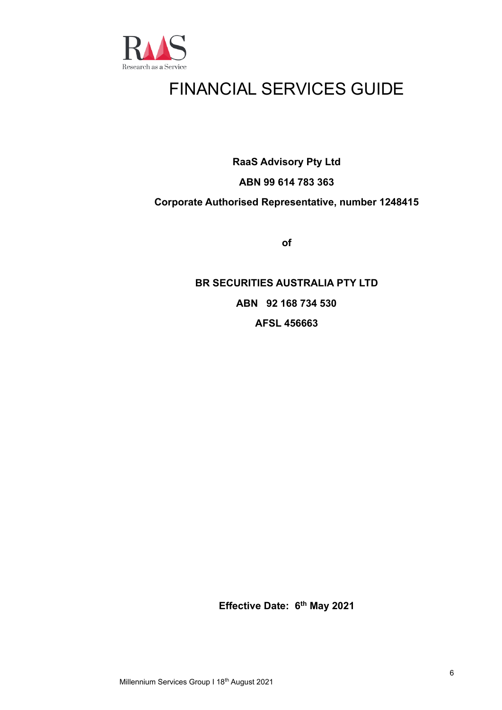

## FINANCIAL SERVICES GUIDE

**RaaS Advisory Pty Ltd**

## **ABN 99 614 783 363**

## **Corporate Authorised Representative, number 1248415**

**of**

## **BR SECURITIES AUSTRALIA PTY LTD ABN 92 168 734 530 AFSL 456663**

**Effective Date: 6 th May 2021**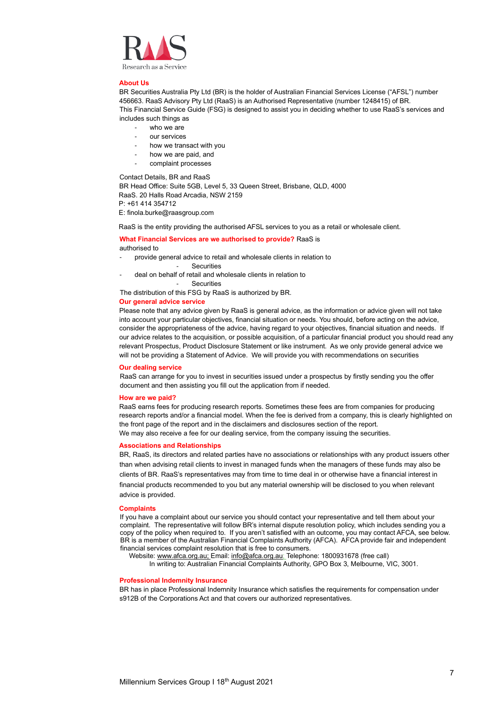

#### **About Us**

BR Securities Australia Pty Ltd (BR) is the holder of Australian Financial Services License ("AFSL") number 456663. RaaS Advisory Pty Ltd (RaaS) is an Authorised Representative (number 1248415) of BR. This Financial Service Guide (FSG) is designed to assist you in deciding whether to use RaaS's services and includes such things as

- who we are
- our services
- how we transact with you
- how we are paid, and
- complaint processes

Contact Details, BR and RaaS

BR Head Office: Suite 5GB, Level 5, 33 Queen Street, Brisbane, QLD, 4000 RaaS. 20 Halls Road Arcadia, NSW 2159 P: +61 414 354712

E: finola.burke@raasgroup.com

RaaS is the entity providing the authorised AFSL services to you as a retail or wholesale client.

#### **What Financial Services are we authorised to provide?** RaaS is authorised to

- provide general advice to retail and wholesale clients in relation to
	- Securities
- deal on behalf of retail and wholesale clients in relation to

**Securities** 

The distribution of this FSG by RaaS is authorized by BR.

### **Our general advice service**

Please note that any advice given by RaaS is general advice, as the information or advice given will not take into account your particular objectives, financial situation or needs. You should, before acting on the advice, consider the appropriateness of the advice, having regard to your objectives, financial situation and needs. If our advice relates to the acquisition, or possible acquisition, of a particular financial product you should read any relevant Prospectus, Product Disclosure Statement or like instrument. As we only provide general advice we will not be providing a Statement of Advice. We will provide you with recommendations on securities

#### **Our dealing service**

RaaS can arrange for you to invest in securities issued under a prospectus by firstly sending you the offer document and then assisting you fill out the application from if needed.

#### **How are we paid?**

RaaS earns fees for producing research reports. Sometimes these fees are from companies for producing research reports and/or a financial model. When the fee is derived from a company, this is clearly highlighted on the front page of the report and in the disclaimers and disclosures section of the report. We may also receive a fee for our dealing service, from the company issuing the securities.

#### **Associations and Relationships**

BR, RaaS, its directors and related parties have no associations or relationships with any product issuers other than when advising retail clients to invest in managed funds when the managers of these funds may also be clients of BR. RaaS's representatives may from time to time deal in or otherwise have a financial interest in financial products recommended to you but any material ownership will be disclosed to you when relevant advice is provided.

#### **Complaints**

If you have a complaint about our service you should contact your representative and tell them about your complaint. The representative will follow BR's internal dispute resolution policy, which includes sending you a copy of the policy when required to. If you aren't satisfied with an outcome, you may contact AFCA, see below. BR is a member of the Australian Financial Complaints Authority (AFCA). AFCA provide fair and independent financial services complaint resolution that is free to consumers.

Website[: www.afca.org.au;](about:blank) Email[: info@afca.org.au;](about:blank) Telephone: 1800931678 (free call)

In writing to: Australian Financial Complaints Authority, GPO Box 3, Melbourne, VIC, 3001.

#### **Professional Indemnity Insurance**

BR has in place Professional Indemnity Insurance which satisfies the requirements for compensation under s912B of the Corporations Act and that covers our authorized representatives.